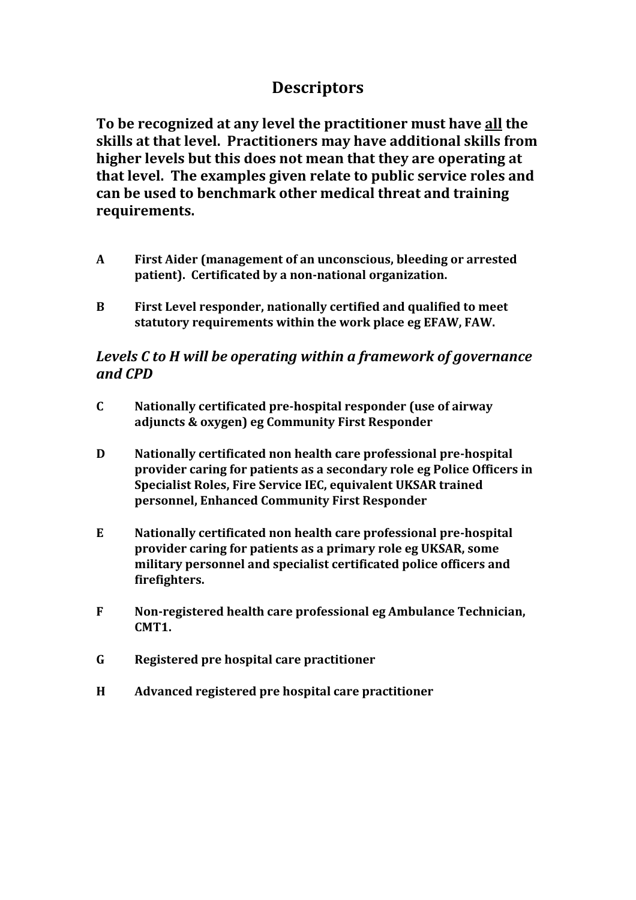## **Descriptors**

**To be recognized at any level the practitioner must have all the skills at that level. Practitioners may have additional skills from higher levels but this does not mean that they are operating at that level. The examples given relate to public service roles and can be used to benchmark other medical threat and training requirements.**

- **A First Aider (management of an unconscious, bleeding or arrested patient). Certificated by a non-national organization.**
- **B First Level responder, nationally certified and qualified to meet statutory requirements within the work place eg EFAW, FAW.**

## *Levels C to H will be operating within a framework of governance and CPD*

- **C Nationally certificated pre-hospital responder (use of airway adjuncts & oxygen) eg Community First Responder**
- **D Nationally certificated non health care professional pre-hospital provider caring for patients as a secondary role eg Police Officers in Specialist Roles, Fire Service IEC, equivalent UKSAR trained personnel, Enhanced Community First Responder**
- **E Nationally certificated non health care professional pre-hospital provider caring for patients as a primary role eg UKSAR, some military personnel and specialist certificated police officers and firefighters.**
- **F Non-registered health care professional eg Ambulance Technician, CMT1.**
- **G Registered pre hospital care practitioner**
- **H Advanced registered pre hospital care practitioner**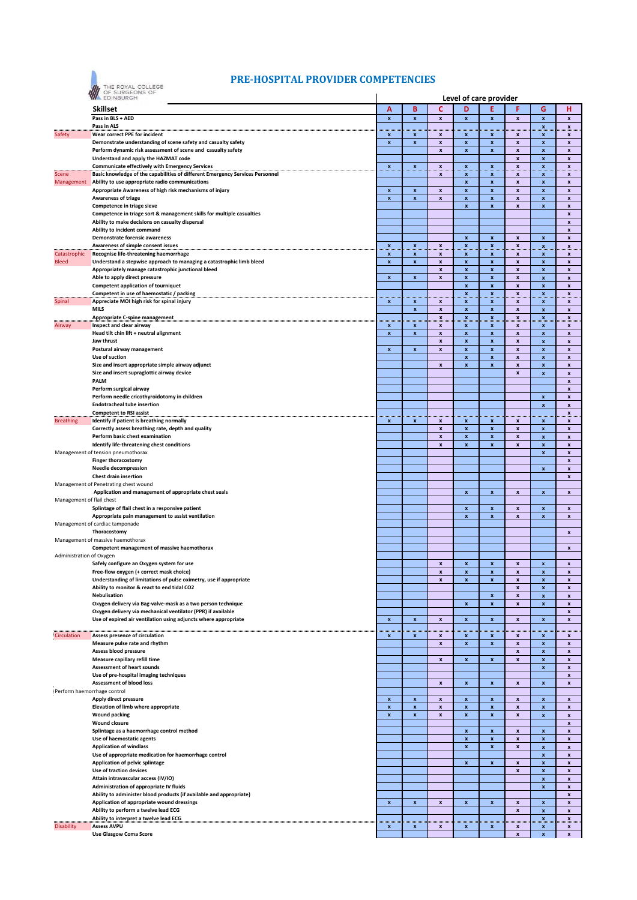

## **PRE‐HOSPITAL PROVIDER COMPETENCIES**

|                             | EDINBURGH                                                                                                                    | Level of care provider                 |                           |                                          |                    |                           |                           |                           |                                          |
|-----------------------------|------------------------------------------------------------------------------------------------------------------------------|----------------------------------------|---------------------------|------------------------------------------|--------------------|---------------------------|---------------------------|---------------------------|------------------------------------------|
|                             | Skillset                                                                                                                     | Α                                      | B                         | c                                        | D                  | E                         | F                         | G                         | н                                        |
|                             | Pass in BLS + AED                                                                                                            | $\boldsymbol{\mathsf{x}}$              | $\pmb{\mathsf{x}}$        | $\pmb{\mathsf{x}}$                       | x                  | $\pmb{\mathsf{x}}$        | $\boldsymbol{\mathsf{x}}$ | $\boldsymbol{\mathsf{x}}$ | $\pmb{\mathsf{x}}$                       |
|                             | Pass in ALS                                                                                                                  |                                        |                           |                                          |                    |                           |                           | ×.                        | Х.,                                      |
| Safety                      | Wear correct PPE for incident                                                                                                | <b>Contract</b><br>x                   | and and<br>x              | and and<br>$\boldsymbol{x}$              | an an<br>x         | an an<br>x                | X                         | $\boldsymbol{\mathsf{x}}$ | x                                        |
|                             | Demonstrate understanding of scene safety and casualty safety                                                                | $\pmb{\mathsf{x}}$                     | x                         | $\pmb{\mathsf{x}}$                       | x                  | x                         | x                         | x                         | $\mathbf{x}$                             |
|                             | Perform dynamic risk assessment of scene and casualty safety                                                                 |                                        |                           | $\pmb{\mathsf{x}}$                       | x                  | $\pmb{\mathsf{x}}$        | x                         | $\pmb{\mathsf{x}}$        | x                                        |
|                             | Understand and apply the HAZMAT code                                                                                         |                                        |                           |                                          |                    |                           | x                         | x                         | x                                        |
|                             | <b>Communicate effectively with Emergency Services</b>                                                                       | $\mathbf{x}$                           |                           | ×.                                       | x                  | $\mathbf{x}$              | ×                         | Ä.                        | ×                                        |
| Scene                       | Basic knowledge of the capabilities of different Emergency Services Personnel                                                |                                        |                           | $\boldsymbol{x}$                         | x                  | x                         | x                         | x                         | x                                        |
| Management                  | Ability to use appropriate radio communications                                                                              |                                        |                           |                                          | $\pmb{\mathsf{x}}$ | $\pmb{\mathsf{x}}$        | $\pmb{\mathsf{x}}$        | $\pmb{\mathsf{x}}$        | $\pmb{\mathsf{x}}$                       |
|                             | Appropriate Awareness of high risk mechanisms of injury                                                                      | $\pmb{\mathsf{x}}$                     | $\pmb{\mathsf{x}}$        | $\pmb{\mathsf{x}}$                       | x                  | $\pmb{\mathsf{x}}$        | $\pmb{\mathsf{x}}$        | x                         | x                                        |
|                             | <b>Awareness of triage</b>                                                                                                   | $\pmb{\mathsf{x}}$                     | $\boldsymbol{\mathsf{x}}$ | $\pmb{\mathsf{x}}$                       | x                  | $\pmb{\mathsf{x}}$        | $\pmb{\mathsf{x}}$        | $\pmb{\mathsf{x}}$        | $\pmb{\mathsf{x}}$                       |
|                             | Competence in triage sieve                                                                                                   |                                        |                           |                                          | x                  | $\pmb{\mathsf{x}}$        | $\pmb{\mathsf{x}}$        | $\pmb{\mathsf{x}}$        | $\pmb{\mathsf{x}}$                       |
|                             | Competence in triage sort & management skills for multiple casualties                                                        |                                        |                           |                                          |                    |                           |                           |                           | $\pmb{\mathsf{x}}$                       |
|                             | Ability to make decisions on casualty dispersal                                                                              |                                        |                           |                                          |                    |                           |                           |                           | $\pmb{\mathsf{x}}$                       |
|                             | Ability to incident command                                                                                                  |                                        |                           |                                          |                    |                           |                           |                           | $\pmb{\mathsf{x}}$                       |
|                             | Demonstrate forensic awareness                                                                                               |                                        |                           |                                          | x                  | $\pmb{\mathsf{x}}$        | $\pmb{\mathsf{x}}$        | $\boldsymbol{x}$          | $\pmb{\mathsf{x}}$                       |
|                             | Awareness of simple consent issues                                                                                           | ×                                      | ×                         | $\boldsymbol{\mathsf{x}}$                | ×                  | ×                         | ×                         | $\boldsymbol{\mathsf{x}}$ | ×                                        |
| Catastrophic                | Recognise life-threatening haemorrhage                                                                                       | x                                      | x                         | $\boldsymbol{x}$                         | X                  | x                         | x                         | x                         | x                                        |
| <b>Bleed</b>                | Understand a stepwise approach to managing a catastrophic limb bleed                                                         | $\boldsymbol{\mathsf{x}}$              | $\boldsymbol{\mathsf{x}}$ | $\pmb{\mathsf{x}}$                       | $\pmb{\mathsf{x}}$ | $\pmb{\mathsf{x}}$        | $\pmb{\mathsf{x}}$        | $\pmb{\mathsf{x}}$        | $\pmb{\mathsf{x}}$                       |
|                             | Appropriately manage catastrophic junctional bleed                                                                           |                                        |                           | $\pmb{\mathsf{x}}$                       | $\pmb{\mathsf{x}}$ | $\pmb{\mathsf{x}}$        | $\pmb{\mathsf{x}}$        | $\pmb{\mathsf{x}}$        | $\pmb{\mathsf{x}}$                       |
|                             | Able to apply direct pressure                                                                                                | $\pmb{\mathsf{x}}$                     | x                         | $\pmb{\mathsf{x}}$                       | x                  | $\pmb{\mathsf{x}}$        | $\pmb{\mathsf{x}}$        | $\pmb{\mathsf{x}}$        | $\pmb{\mathsf{x}}$                       |
|                             | <b>Competent application of tourniquet</b>                                                                                   |                                        |                           |                                          | x                  | $\pmb{\mathsf{x}}$        | X                         | $\boldsymbol{x}$          | $\pmb{\mathsf{x}}$                       |
|                             | Competent in use of haemostatic / packing                                                                                    |                                        |                           |                                          | ×                  | $\boldsymbol{\mathsf{x}}$ | ×                         | ×                         | ×                                        |
| Spinal                      | Appreciate MOI high risk for spinal injury                                                                                   | $\pmb{\mathsf{x}}$                     | X                         | X                                        | x                  | x                         | X                         | x                         | x                                        |
|                             | <b>MILS</b>                                                                                                                  |                                        | $\pmb{\mathsf{x}}$        | $\pmb{\mathsf{x}}$                       | x                  | $\pmb{\mathsf{x}}$        | $\pmb{\mathsf{x}}$        | $\pmb{\mathsf{x}}$        | $\pmb{\mathsf{x}}$                       |
|                             | <b>Appropriate C-spine management</b>                                                                                        | mm                                     | mm                        | $\mathbf{x}$                             | ×.                 | x.,                       | ×                         | ×                         | <b>x</b>                                 |
| Airway                      | Inspect and clear airway<br>Head tilt chin lift + neutral alignment                                                          | $\boldsymbol{x}$<br>$\pmb{\mathsf{x}}$ | $\boldsymbol{x}$          | $\boldsymbol{x}$                         | x<br>x             | x<br>$\pmb{\mathsf{x}}$   | x                         | $\mathbf{x}$              | $\mathbf{x}$                             |
|                             | Jaw thrust                                                                                                                   |                                        | x                         | x                                        |                    |                           | x                         | $\boldsymbol{x}$          | x                                        |
|                             | Postural airway management                                                                                                   | $\pmb{\mathsf{x}}$                     | x                         | $\pmb{\mathsf{x}}$<br>$\pmb{\mathsf{x}}$ | x<br>x             | x<br>$\pmb{\mathsf{x}}$   | x<br>x                    | $\pmb{\mathsf{x}}$<br>x   | $\pmb{\mathsf{x}}$<br>x                  |
|                             | Use of suction                                                                                                               |                                        |                           |                                          | x                  | x                         | x                         | x                         | x                                        |
|                             | Size and insert appropriate simple airway adjunct                                                                            |                                        |                           | $\pmb{\mathsf{x}}$                       | X                  | $\pmb{\mathsf{x}}$        | x                         | $\boldsymbol{x}$          | x                                        |
|                             | Size and insert supraglottic airway device                                                                                   |                                        |                           |                                          |                    |                           | x                         | x                         | $\pmb{\mathsf{x}}$                       |
|                             | <b>PALM</b>                                                                                                                  |                                        |                           |                                          |                    |                           |                           |                           | $\pmb{\mathsf{x}}$                       |
|                             | Perform surgical airway                                                                                                      |                                        |                           |                                          |                    |                           |                           |                           | x                                        |
|                             | Perform needle cricothyroidotomy in children                                                                                 |                                        |                           |                                          |                    |                           |                           | $\mathbf{x}$              | $\pmb{\mathsf{x}}$                       |
|                             | <b>Endotracheal tube insertion</b>                                                                                           |                                        |                           |                                          |                    |                           |                           | $\pmb{\mathsf{x}}$        | $\pmb{\mathsf{x}}$                       |
|                             | <b>Competent to RSI assist</b>                                                                                               |                                        |                           |                                          |                    |                           |                           |                           | ×                                        |
| <b>Breathing</b>            | Identify if patient is breathing normally                                                                                    | x                                      | x                         | $\boldsymbol{x}$                         | <b>Course</b><br>x | an an<br>x                | x                         | an an<br>$\boldsymbol{x}$ | x                                        |
|                             | Correctly assess breathing rate, depth and quality                                                                           |                                        |                           | $\pmb{\mathsf{x}}$                       | $\pmb{\mathsf{x}}$ | $\pmb{\mathsf{x}}$        | $\pmb{\mathsf{x}}$        | $\pmb{\mathsf{x}}$        | $\pmb{\mathsf{x}}$                       |
|                             | Perform basic chest examination                                                                                              |                                        |                           | $\pmb{\mathsf{x}}$                       | x                  | $\pmb{\mathsf{x}}$        | $\pmb{\mathsf{x}}$        | $\pmb{\mathsf{x}}$        | $\pmb{\mathsf{x}}$                       |
|                             | Identify life-threatening chest conditions                                                                                   |                                        |                           | $\pmb{\mathsf{x}}$                       | $\pmb{\mathsf{x}}$ | $\pmb{\mathsf{x}}$        | $\pmb{\mathsf{x}}$        | $\mathbf{x}$              | $\pmb{\mathsf{x}}$                       |
|                             | Management of tension pneumothorax                                                                                           |                                        |                           |                                          |                    |                           |                           | $\boldsymbol{x}$          | $\pmb{\mathsf{x}}$                       |
|                             | <b>Finger thoracostomy</b>                                                                                                   |                                        |                           |                                          |                    |                           |                           |                           | $\pmb{\mathsf{x}}$                       |
|                             | <b>Needle decompression</b>                                                                                                  |                                        |                           |                                          |                    |                           |                           | $\boldsymbol{x}$          | $\pmb{\mathsf{x}}$                       |
|                             | <b>Chest drain insertion</b>                                                                                                 |                                        |                           |                                          |                    |                           |                           |                           | $\boldsymbol{\mathsf{x}}$                |
|                             | Management of Penetrating chest wound                                                                                        |                                        |                           |                                          |                    |                           |                           |                           |                                          |
|                             | Application and management of appropriate chest seals                                                                        |                                        |                           |                                          | x                  | $\pmb{\mathsf{x}}$        | $\pmb{\mathsf{x}}$        | $\mathbf{x}$              | $\pmb{\mathsf{x}}$                       |
| Management of flail chest   |                                                                                                                              |                                        |                           |                                          |                    |                           |                           |                           |                                          |
|                             | Splintage of flail chest in a responsive patient                                                                             |                                        |                           |                                          | x                  | $\pmb{\mathsf{x}}$        | $\pmb{\mathsf{x}}$        | x                         | $\pmb{\mathsf{x}}$                       |
|                             | Appropriate pain management to assist ventilation                                                                            |                                        |                           |                                          | x                  | $\pmb{\mathsf{x}}$        | X                         | $\boldsymbol{\mathsf{x}}$ | $\pmb{\mathsf{x}}$                       |
|                             | Management of cardiac tamponade                                                                                              |                                        |                           |                                          |                    |                           |                           |                           |                                          |
|                             | Thoracostomy                                                                                                                 |                                        |                           |                                          |                    |                           |                           |                           | x                                        |
|                             | Management of massive haemothorax                                                                                            |                                        |                           |                                          |                    |                           |                           |                           |                                          |
|                             | Competent management of massive haemothorax                                                                                  |                                        |                           |                                          |                    |                           |                           |                           | x                                        |
| Administration of Oxygen    |                                                                                                                              |                                        |                           |                                          |                    |                           |                           |                           |                                          |
|                             | Safely configure an Oxygen system for use                                                                                    |                                        |                           | $\pmb{\mathsf{x}}$                       | X                  | X                         | x                         | X                         | x                                        |
|                             | Free-flow oxygen (+ correct mask choice)                                                                                     |                                        |                           | x                                        | x                  | x                         | x                         | x                         | x                                        |
|                             | Understanding of limitations of pulse oximetry, use if appropriate<br>Ability to monitor & react to end tidal CO2            |                                        |                           | $\pmb{\mathsf{x}}$                       | X                  | $\pmb{\mathsf{x}}$        | x                         | $\boldsymbol{x}$          | x                                        |
|                             | <b>Nebulisation</b>                                                                                                          |                                        |                           |                                          |                    |                           | $\pmb{\mathsf{x}}$        | x                         | x                                        |
|                             |                                                                                                                              |                                        |                           |                                          |                    | $\pmb{\mathsf{x}}$        | $\pmb{\mathsf{x}}$        | $\boldsymbol{x}$          | $\pmb{\mathsf{x}}$                       |
|                             | Oxygen delivery via Bag-valve-mask as a two person technique<br>Oxygen delivery via mechanical ventilator (PPR) if available |                                        |                           |                                          | $\pmb{\mathsf{x}}$ | $\pmb{\mathsf{x}}$        | $\pmb{\mathsf{x}}$        | $\pmb{\mathsf{x}}$        | $\pmb{\mathsf{x}}$<br>$\pmb{\mathsf{x}}$ |
|                             | Use of expired air ventilation using adjuncts where appropriate                                                              | $\pmb{\mathsf{x}}$                     | $\pmb{\mathsf{x}}$        | $\pmb{\mathsf{x}}$                       | $\pmb{\mathsf{x}}$ | $\pmb{\mathsf{x}}$        | $\pmb{\mathsf{x}}$        | $\pmb{\mathsf{x}}$        | $\pmb{\mathsf{x}}$                       |
|                             |                                                                                                                              |                                        |                           |                                          |                    |                           |                           |                           |                                          |
| <br>Circulation             | Assess presence of circulation                                                                                               | x                                      | x                         | mm<br>x                                  | x                  | mm<br>x                   | $\boldsymbol{\mathsf{x}}$ | $\boldsymbol{\mathsf{x}}$ | ana a<br>x                               |
|                             | Measure pulse rate and rhythm                                                                                                |                                        |                           | $\pmb{\mathsf{x}}$                       | $\pmb{\mathsf{x}}$ | $\pmb{\mathsf{x}}$        | $\pmb{\mathsf{x}}$        | $\mathbf{x}$              | $\pmb{\mathsf{x}}$                       |
|                             | <b>Assess blood pressure</b>                                                                                                 |                                        |                           |                                          |                    |                           | $\pmb{\mathsf{x}}$        | x                         | $\pmb{\mathsf{x}}$                       |
|                             | Measure capillary refill time                                                                                                |                                        |                           | $\pmb{\chi}$                             | $\pmb{\mathsf{x}}$ | $\pmb{\mathsf{x}}$        | $\pmb{\mathsf{x}}$        | $\pmb{\mathsf{x}}$        | $\pmb{\mathsf{x}}$                       |
|                             | <b>Assessment of heart sounds</b>                                                                                            |                                        |                           |                                          |                    |                           |                           | x                         | $\pmb{\mathsf{x}}$                       |
|                             | Use of pre-hospital imaging techniques                                                                                       |                                        |                           |                                          |                    |                           |                           |                           | $\pmb{\mathsf{x}}$                       |
|                             | <b>Assessment of blood loss</b>                                                                                              |                                        |                           | $\pmb{\mathsf{x}}$                       | $\pmb{\mathsf{x}}$ | $\pmb{\mathsf{x}}$        | $\boldsymbol{x}$          | $\pmb{\mathsf{x}}$        | $\pmb{\mathsf{x}}$                       |
| Perform haemorrhage control |                                                                                                                              |                                        |                           |                                          |                    |                           |                           |                           |                                          |
|                             | Apply direct pressure                                                                                                        | $\boldsymbol{\mathsf{x}}$              | $\boldsymbol{\mathsf{x}}$ | $\pmb{\mathsf{x}}$                       | x                  | $\pmb{\mathsf{x}}$        | $\pmb{\mathsf{x}}$        | $\boldsymbol{x}$          | x                                        |
|                             | Elevation of limb where appropriate                                                                                          | $\pmb{\times}$                         | $\pmb{\mathsf{x}}$        | $\pmb{\mathsf{x}}$                       | x                  | $\pmb{\mathsf{x}}$        | $\pmb{\times}$            | $\pmb{\mathsf{x}}$        | $\pmb{\mathsf{x}}$                       |
|                             | <b>Wound packing</b>                                                                                                         | $\boldsymbol{\mathsf{x}}$              | $\boldsymbol{x}$          | $\pmb{\mathsf{x}}$                       | X                  | $\pmb{\mathsf{x}}$        | $\pmb{\mathsf{x}}$        | $\boldsymbol{\mathsf{x}}$ | $\pmb{\mathsf{x}}$                       |
|                             | <b>Wound closure</b>                                                                                                         |                                        |                           |                                          |                    |                           |                           |                           | $\pmb{\mathsf{x}}$                       |
|                             | Splintage as a haemorrhage control method                                                                                    |                                        |                           |                                          | x                  | X                         | X                         | $\boldsymbol{x}$          | x                                        |
|                             | Use of haemostatic agents                                                                                                    |                                        |                           |                                          | x                  | $\pmb{\mathsf{x}}$        | $\pmb{\mathsf{x}}$        | $\pmb{\mathsf{x}}$        | $\pmb{\mathsf{x}}$                       |
|                             | <b>Application of windlass</b>                                                                                               |                                        |                           |                                          | x                  | $\pmb{\mathsf{x}}$        | x                         | $\boldsymbol{x}$          | x                                        |
|                             | Use of appropriate medication for haemorrhage control                                                                        |                                        |                           |                                          |                    |                           |                           | $\mathbf{x}$              | x                                        |
|                             | Application of pelvic splintage                                                                                              |                                        |                           |                                          | X                  | $\pmb{\mathsf{x}}$        | x                         | $\boldsymbol{x}$          | x                                        |
|                             | Use of traction devices                                                                                                      |                                        |                           |                                          |                    |                           | x                         | x                         | x                                        |
|                             | Attain intravascular access (IV/IO)                                                                                          |                                        |                           |                                          |                    |                           |                           | x                         | x                                        |
|                             | Administration of appropriate IV fluids                                                                                      |                                        |                           |                                          |                    |                           |                           | x                         | x                                        |
|                             | Ability to administer blood products (if available and appropriate)                                                          |                                        |                           |                                          |                    |                           |                           |                           | x                                        |
|                             | Application of appropriate wound dressings                                                                                   | $\pmb{\mathsf{x}}$                     | $\pmb{\mathsf{x}}$        | $\pmb{\mathsf{x}}$                       | $\pmb{\mathsf{x}}$ | $\pmb{\mathsf{x}}$        | $\pmb{\mathsf{x}}$        | x                         | x                                        |
|                             | Ability to perform a twelve lead ECG                                                                                         |                                        |                           |                                          |                    |                           | $\pmb{\mathsf{x}}$        | $\pmb{\mathsf{x}}$        | $\pmb{\mathsf{x}}$                       |
|                             | Ability to interpret a twelve lead ECG                                                                                       | <b>CONTRACTOR</b>                      |                           |                                          | <b>CONTRACTOR</b>  | <b>Contract</b>           |                           | $\boldsymbol{\mathsf{x}}$ | ×                                        |
| <b>Disability</b>           | <b>Assess AVPU</b>                                                                                                           | $\boldsymbol{x}$                       | x                         | $\boldsymbol{x}$                         | x                  | x                         | x                         | $\boldsymbol{\mathsf{x}}$ | $\pmb{\mathsf{x}}$                       |
|                             | <b>Use Glasgow Coma Score</b>                                                                                                |                                        |                           |                                          |                    |                           | $\pmb{\mathsf{x}}$        | $\pmb{\mathsf{x}}$        | $\pmb{\mathsf{x}}$                       |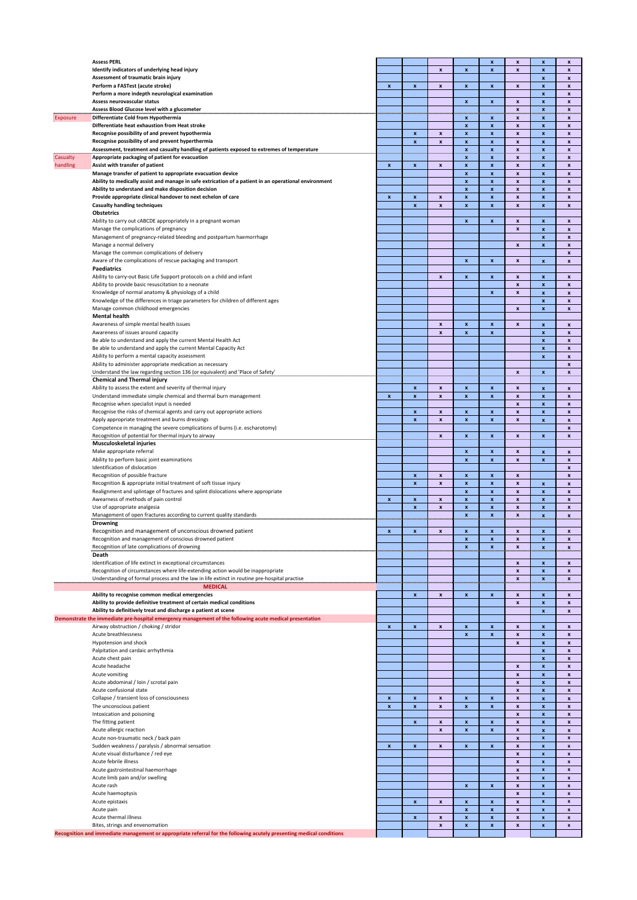|          | <b>Assess PERL</b>                                                                                                                         |                    |                           |                           |                           | x                         | $\boldsymbol{x}$          | $\pmb{\mathsf{x}}$                       | X                         |
|----------|--------------------------------------------------------------------------------------------------------------------------------------------|--------------------|---------------------------|---------------------------|---------------------------|---------------------------|---------------------------|------------------------------------------|---------------------------|
|          | Identify indicators of underlying head injury<br>Assessment of traumatic brain injury                                                      |                    |                           | $\pmb{\mathsf{x}}$        | $\pmb{\mathsf{x}}$        | x                         | x                         | $\pmb{\mathsf{x}}$<br>$\pmb{\mathsf{x}}$ | $\pmb{\mathsf{x}}$<br>x   |
|          | Perform a FASTest (acute stroke)                                                                                                           | $\pmb{\mathsf{x}}$ | $\pmb{\mathsf{x}}$        | $\pmb{\mathsf{x}}$        | $\mathbf{x}$              | x                         | x                         | x                                        | $\pmb{\mathsf{x}}$        |
|          | Perform a more indepth neurological examination                                                                                            |                    |                           |                           |                           |                           |                           | $\pmb{\mathsf{x}}$                       | x                         |
|          | Assess neurovascular status                                                                                                                |                    |                           |                           | $\pmb{\mathsf{x}}$        | x                         | $\pmb{\mathsf{x}}$        | x                                        | x                         |
|          | Assess Blood Glucose level with a glucometer                                                                                               |                    |                           |                           |                           |                           | X                         | $\boldsymbol{x}$                         | $\pmb{\mathsf{x}}$        |
| Exposure | Differentiate Cold from Hypothermia                                                                                                        | <b>Contractor</b>  |                           |                           | and a<br>x                | x                         | x                         | x                                        | $\boldsymbol{x}$          |
|          | Differentiate heat exhaustion from Heat stroke                                                                                             |                    |                           |                           | $\pmb{\chi}$              | $\boldsymbol{\mathsf{x}}$ | $\pmb{\mathsf{x}}$        | $\pmb{\chi}$                             | $\pmb{\chi}$              |
|          | Recognise possibility of and prevent hypothermia                                                                                           |                    | $\pmb{\mathsf{x}}$        | $\pmb{\mathsf{x}}$        | $\pmb{\mathsf{x}}$        | $\pmb{\mathsf{x}}$        | $\pmb{\mathsf{x}}$        | $\pmb{\mathsf{x}}$                       | $\pmb{\mathsf{x}}$        |
|          | Recognise possibility of and prevent hyperthermia                                                                                          |                    | $\boldsymbol{\mathsf{x}}$ | $\pmb{\mathsf{x}}$        | $\pmb{\mathsf{x}}$        | $\boldsymbol{\mathsf{x}}$ | $\boldsymbol{x}$          | $\pmb{\mathsf{x}}$                       | $\pmb{\chi}$              |
|          | Assessment, treatment and casualty handling of patients exposed to extremes of temperature                                                 |                    |                           |                           | .x.,                      | <u>х.</u>                 | ×                         | ×                                        | ×                         |
| Casualty | Appropriate packaging of patient for evacuation                                                                                            |                    |                           |                           | $\boldsymbol{\mathsf{x}}$ | $\mathbf{x}$              | $\mathbf{x}$              | $\mathbf{x}$                             | $\boldsymbol{x}$          |
| handling | Assist with transfer of patient                                                                                                            | $\pmb{\mathsf{x}}$ | $\pmb{\chi}$              | $\pmb{\mathsf{x}}$        | $\pmb{\chi}$              | $\pmb{\mathsf{x}}$        | $\pmb{\mathsf{x}}$        | $\pmb{\mathsf{x}}$                       | $\pmb{\chi}$              |
|          | Manage transfer of patient to appropriate evacuation device                                                                                |                    |                           |                           | $\pmb{\chi}$              | $\pmb{\mathsf{x}}$        | $\pmb{\mathsf{x}}$        | $\pmb{\mathsf{x}}$                       | $\mathbf{x}$              |
|          | Ability to medically assist and manage in safe extrication of a patient in an operational environment                                      |                    |                           |                           | $\boldsymbol{\mathsf{x}}$ | $\pmb{\mathsf{x}}$        | $\boldsymbol{\mathsf{x}}$ | $\pmb{\mathsf{x}}$                       | $\pmb{\mathsf{x}}$        |
|          | Ability to understand and make disposition decision                                                                                        |                    |                           |                           | $\pmb{\chi}$              | $\pmb{\mathsf{x}}$        | $\pmb{\mathsf{x}}$        | $\pmb{\mathsf{x}}$                       | $\pmb{\mathsf{x}}$        |
|          | Provide appropriate clinical handover to next echelon of care                                                                              | $\pmb{\mathsf{x}}$ | $\pmb{\mathsf{x}}$        | $\boldsymbol{x}$          | $\boldsymbol{\mathsf{x}}$ | $\pmb{\mathsf{x}}$        | $\boldsymbol{\mathsf{x}}$ | $\pmb{\mathsf{x}}$                       | $\pmb{\mathsf{x}}$        |
|          | <b>Casualty handling techniques</b>                                                                                                        |                    | $\boldsymbol{\mathsf{x}}$ | $\boldsymbol{x}$          | $\boldsymbol{\mathsf{x}}$ | $\pmb{\mathsf{x}}$        | $\pmb{\mathsf{x}}$        | $\pmb{\mathsf{x}}$                       | $\pmb{\mathsf{x}}$        |
|          | <b>Obstetrics</b>                                                                                                                          |                    |                           |                           |                           |                           |                           |                                          |                           |
|          | Ability to carry out cABCDE appropriately in a pregnant woman                                                                              |                    |                           |                           | $\pmb{\mathsf{x}}$        | $\pmb{\mathsf{x}}$        | $\pmb{\mathsf{x}}$        | $\pmb{\mathsf{x}}$                       | $\pmb{\chi}$              |
|          | Manage the complications of pregnancy                                                                                                      |                    |                           |                           |                           |                           | $\boldsymbol{x}$          | $\pmb{\mathsf{x}}$                       | $\boldsymbol{x}$          |
|          | Management of pregnancy-related bleeding and postpartum haemorrhage                                                                        |                    |                           |                           |                           |                           |                           | $\pmb{\mathsf{x}}$                       | $\pmb{\mathsf{x}}$        |
|          | Manage a normal delivery                                                                                                                   |                    |                           |                           |                           |                           | $\boldsymbol{x}$          | $\pmb{\mathsf{x}}$                       | $\boldsymbol{x}$          |
|          | Manage the common complications of delivery                                                                                                |                    |                           |                           |                           |                           |                           |                                          | $\pmb{\mathsf{x}}$        |
|          | Aware of the complications of rescue packaging and transport                                                                               |                    |                           |                           | $\boldsymbol{\mathsf{x}}$ | $\pmb{\mathsf{x}}$        | $\boldsymbol{x}$          | $\pmb{\mathsf{x}}$                       | $\mathbf{x}$              |
|          | <b>Paediatrics</b>                                                                                                                         |                    |                           |                           |                           |                           |                           |                                          |                           |
|          | Ability to carry-out Basic Life Support protocols on a child and infant                                                                    |                    |                           | $\boldsymbol{\mathsf{x}}$ | $\pmb{\mathsf{x}}$        | $\pmb{\mathsf{x}}$        | $\boldsymbol{x}$          | $\pmb{\mathsf{x}}$                       | $\boldsymbol{x}$          |
|          | Ability to provide basic resuscitation to a neonate                                                                                        |                    |                           |                           |                           |                           | $\pmb{\mathsf{x}}$        | x                                        | $\pmb{\mathsf{x}}$        |
|          | Knowledge of normal anatomy & physiology of a child                                                                                        |                    |                           |                           |                           | $\pmb{\mathsf{x}}$        | $\boldsymbol{\mathsf{x}}$ | $\pmb{\mathsf{x}}$                       | $\pmb{\mathsf{x}}$        |
|          | Knowledge of the differences in triage parameters for children of different ages                                                           |                    |                           |                           |                           |                           |                           | x                                        | $\pmb{\mathsf{x}}$        |
|          | Manage common childhood emergencies                                                                                                        |                    |                           |                           |                           |                           | $\boldsymbol{x}$          | $\pmb{\mathsf{x}}$                       | $\pmb{\mathsf{x}}$        |
|          | <b>Mental health</b>                                                                                                                       |                    |                           |                           |                           |                           |                           |                                          |                           |
|          | Awareness of simple mental health issues                                                                                                   |                    |                           | $\pmb{\mathsf{x}}$        | $\pmb{\mathsf{x}}$        | $\pmb{\mathsf{x}}$        | $\pmb{\mathsf{x}}$        | $\pmb{\mathsf{x}}$                       | $\pmb{\chi}$              |
|          | Awareness of issues around capacity                                                                                                        |                    |                           | $\pmb{\mathsf{x}}$        | $\pmb{\mathsf{x}}$        | $\pmb{\mathsf{x}}$        |                           | $\pmb{\mathsf{x}}$                       | $\pmb{\mathsf{x}}$        |
|          | Be able to understand and apply the current Mental Health Act                                                                              |                    |                           |                           |                           |                           |                           | $\pmb{\mathsf{x}}$                       | $\pmb{\chi}$              |
|          | Be able to understand and apply the current Mental Capacity Act                                                                            |                    |                           |                           |                           |                           |                           | $\pmb{\mathsf{x}}$                       | $\pmb{\mathsf{x}}$        |
|          | Ability to perform a mental capacity assessment                                                                                            |                    |                           |                           |                           |                           |                           | $\pmb{\mathsf{x}}$                       | $\pmb{\chi}$              |
|          | Ability to administer appropriate medication as necessary                                                                                  |                    |                           |                           |                           |                           |                           |                                          | $\pmb{\chi}$              |
|          | Understand the law regarding section 136 (or equivalent) and 'Place of Safety'                                                             |                    |                           |                           |                           |                           | x                         | $\boldsymbol{x}$                         | ×                         |
|          | <b>Chemical and Thermal injury</b>                                                                                                         |                    |                           |                           |                           |                           |                           |                                          |                           |
|          | Ability to assess the extent and severity of thermal injury                                                                                |                    | $\pmb{\chi}$              | $\pmb{\mathsf{x}}$        | $\pmb{\chi}$              | $\pmb{\mathsf{x}}$        | $\pmb{\mathsf{x}}$        | $\pmb{\mathsf{x}}$                       | $\pmb{\chi}$              |
|          | Understand immediate simple chemical and thermal burn management                                                                           | $\pmb{\mathsf{x}}$ | $\boldsymbol{\mathsf{x}}$ | $\boldsymbol{\mathsf{x}}$ | $\boldsymbol{\mathsf{x}}$ | $\pmb{\mathsf{x}}$        | $\boldsymbol{x}$          | $\pmb{\mathsf{x}}$                       | $\pmb{\mathsf{x}}$        |
|          | Recognise when specialist input is needed                                                                                                  |                    |                           |                           |                           |                           | $\pmb{\mathsf{x}}$        | $\pmb{\mathsf{x}}$                       | $\pmb{\mathsf{x}}$        |
|          | Recognise the risks of chemical agents and carry out appropriate actions                                                                   |                    | $\pmb{\chi}$              | $\boldsymbol{x}$          | $\boldsymbol{\mathsf{x}}$ | $\pmb{\mathsf{x}}$        | $\boldsymbol{\mathsf{x}}$ | $\pmb{\mathsf{x}}$                       | $\pmb{\mathsf{x}}$        |
|          | Apply appropriate treatment and burns dressings                                                                                            |                    | $\pmb{\mathsf{x}}$        | $\boldsymbol{x}$          | $\pmb{\mathsf{x}}$        | $\pmb{\mathsf{x}}$        | $\pmb{\mathsf{x}}$        | $\pmb{\mathsf{x}}$                       | $\pmb{\mathsf{x}}$        |
|          | Competence in managing the severe complications of burns (i.e. escharotomy)                                                                |                    |                           |                           |                           |                           |                           |                                          | $\boldsymbol{x}$          |
|          | Recognition of potential for thermal injury to airway                                                                                      |                    |                           | x                         | $\pmb{\mathsf{x}}$        | $\mathbf{x}$              | x                         | $\boldsymbol{x}$                         | x                         |
|          | Musculoskeletal injuries                                                                                                                   |                    |                           |                           |                           |                           |                           |                                          |                           |
|          | Make appropriate referral                                                                                                                  |                    |                           |                           | $\pmb{\mathsf{x}}$        | $\pmb{\mathsf{x}}$        | $\pmb{\mathsf{x}}$        | $\pmb{\mathsf{x}}$                       | $\pmb{\mathsf{x}}$        |
|          | Ability to perform basic joint examinations                                                                                                |                    |                           |                           | $\boldsymbol{\mathsf{x}}$ | $\pmb{\mathsf{x}}$        | $\boldsymbol{x}$          | $\pmb{\mathsf{x}}$                       | $\pmb{\mathsf{x}}$        |
|          | Identification of dislocation                                                                                                              |                    |                           |                           |                           |                           |                           |                                          | $\pmb{\mathsf{x}}$        |
|          | Recognition of possible fracture                                                                                                           |                    | $\pmb{\mathsf{x}}$        | $\boldsymbol{x}$          | $\pmb{\mathsf{x}}$        | x                         | $\boldsymbol{x}$          |                                          | $\boldsymbol{x}$          |
|          | Recognition & appropriate initial treatment of soft tissue injury                                                                          |                    | $\pmb{\mathsf{x}}$        | $\pmb{\mathsf{x}}$        | $\pmb{\mathsf{x}}$        | x                         | $\pmb{\mathsf{x}}$        | $\pmb{\mathsf{x}}$                       | $\pmb{\mathsf{x}}$        |
|          | Realignment and splintage of fractures and splint dislocations where appropriate                                                           |                    |                           |                           | $\pmb{\mathsf{x}}$        | $\pmb{\mathsf{x}}$        | $\boldsymbol{\mathsf{x}}$ | $\pmb{\mathsf{x}}$                       | x                         |
|          | Awearness of methods of pain control                                                                                                       | x                  | $\pmb{\mathsf{x}}$        | $\pmb{\mathsf{x}}$        | $\pmb{\mathsf{x}}$        | x                         | $\pmb{\mathsf{x}}$        | x                                        | x                         |
|          | Use of appropriate analgesia                                                                                                               |                    | $\pmb{\times}$            | $\pmb{\mathsf{x}}$        | $\pmb{\mathsf{x}}$        | x                         | $\boldsymbol{\mathsf{x}}$ | $\pmb{\mathsf{x}}$                       | x                         |
|          | Management of open fractures according to current quality standards<br>Management of open fractures according to current quality standards |                    |                           | .                         |                           |                           | $\mathbf{x}$              | $\mathbf{x}_{\dots}$                     | $\mathbf{x}$              |
|          | Drowning                                                                                                                                   |                    |                           |                           |                           |                           |                           |                                          |                           |
|          | Recognition and management of unconscious drowned patient                                                                                  | x                  |                           |                           | x                         |                           | x                         |                                          | X                         |
|          | Recognition and management of conscious drowned patient                                                                                    |                    |                           |                           | $\pmb{\mathsf{x}}$        | $\boldsymbol{\mathsf{x}}$ | $\pmb{\mathsf{x}}$        | $\pmb{\mathsf{x}}$                       | $\pmb{\mathsf{x}}$        |
|          | Recognition of late complications of drowning                                                                                              |                    |                           |                           | $\mathbf{x}$              | $\mathbf{x}_\parallel$    | $\boldsymbol{x}$          | $\mathbf{x}_\parallel$                   | $\boldsymbol{\mathsf{x}}$ |
|          | Death                                                                                                                                      | an an an an an     |                           |                           |                           |                           |                           |                                          |                           |
|          | Identification of life extinct in exceptional circumstances                                                                                |                    |                           |                           |                           |                           | $\boldsymbol{\mathsf{x}}$ | $\pmb{\mathsf{x}}$                       | $\pmb{\mathsf{x}}$        |
|          | Recognition of circumstances where life-extending action would be inappropriate                                                            |                    |                           |                           |                           |                           | $\mathbf{x}$              | $\pmb{\mathsf{x}}$                       | $\pmb{\chi}$              |
|          | Understanding of formal process and the law in life extinct in routine pre-hospital practise                                               | an an an an a      |                           |                           |                           |                           | $\boldsymbol{x}$          | $\mathbf{x}_\parallel$                   | ×                         |
| .        | <b>MEDICAL</b>                                                                                                                             |                    |                           |                           | لتستنب                    |                           |                           |                                          |                           |
|          | Ability to recognise common medical emergencies                                                                                            |                    | $\pmb{\mathsf{x}}$        | $\pmb{\mathsf{x}}$        | $\pmb{\chi}$              | $\pmb{\mathsf{x}}$        | $\boldsymbol{\mathsf{x}}$ | $\pmb{\mathsf{x}}$                       | $\pmb{\mathsf{x}}$        |
|          | Ability to provide definitive treatment of certain medical conditions                                                                      |                    |                           |                           |                           |                           | $\pmb{\mathsf{x}}$        | $\pmb{\mathsf{x}}$                       | $\pmb{\mathsf{x}}$        |
|          | Ability to definitively treat and discharge a patient at scene                                                                             |                    |                           |                           |                           |                           |                           | $\pmb{\mathsf{x}}$                       | $\pmb{\mathsf{x}}$        |
|          | Demonstrate the immediate pre-hospital emergency management of the following acute medical presentation                                    |                    |                           |                           |                           |                           |                           |                                          |                           |
|          | Airway obstruction / choking / stridor                                                                                                     | $\pmb{\mathsf{x}}$ | $\pmb{\mathsf{x}}$        | $\boldsymbol{\mathsf{x}}$ | $\pmb{\times}$            | $\pmb{\mathsf{x}}$        | $\boldsymbol{x}$          | $\pmb{\mathsf{x}}$                       | $\pmb{\mathsf{x}}$        |
|          | Acute breathlessness                                                                                                                       |                    |                           |                           | $\pmb{\mathsf{x}}$        | $\pmb{\mathsf{x}}$        | $\boldsymbol{\mathsf{x}}$ | $\pmb{\mathsf{x}}$                       | $\pmb{\mathsf{x}}$        |
|          | Hypotension and shock                                                                                                                      |                    |                           |                           |                           |                           | $\boldsymbol{x}$          | x                                        | x                         |
|          | Palpitation and cardaic arrhythmia                                                                                                         |                    |                           |                           |                           |                           |                           | $\pmb{\mathsf{x}}$                       | $\pmb{\mathsf{x}}$        |
|          | Acute chest pain                                                                                                                           |                    |                           |                           |                           |                           |                           | $\boldsymbol{x}$                         | x                         |
|          | Acute headache                                                                                                                             |                    |                           |                           |                           |                           | $\pmb{\mathsf{x}}$        | $\pmb{\mathsf{x}}$                       | $\pmb{\mathsf{x}}$        |
|          | Acute vomiting                                                                                                                             |                    |                           |                           |                           |                           |                           | $\pmb{\mathsf{x}}$                       | $\boldsymbol{x}$          |
|          | Acute abdominal / loin / scrotal pain                                                                                                      |                    |                           |                           |                           |                           | x                         | $\pmb{\mathsf{x}}$                       | $\pmb{\mathsf{x}}$        |
|          | Acute confusional state                                                                                                                    |                    |                           |                           |                           |                           | $\boldsymbol{\mathsf{x}}$ | $\pmb{\mathsf{x}}$                       | $\boldsymbol{x}$          |
|          | Collapse / transient loss of consciousness                                                                                                 | x                  | $\pmb{\mathsf{x}}$        | $\pmb{\mathsf{x}}$        | $\pmb{\mathsf{x}}$        | x                         | $\pmb{\mathsf{x}}$        | x                                        | x                         |
|          | The unconscious patient                                                                                                                    | $\pmb{\mathsf{x}}$ | $\pmb{\times}$            | $\pmb{\mathsf{x}}$        | $\pmb{\mathsf{x}}$        | $\pmb{\mathsf{x}}$        | $\boldsymbol{\mathsf{x}}$ | x                                        | x                         |
|          | Intoxication and poisoning                                                                                                                 |                    |                           |                           |                           |                           | $\pmb{\mathsf{x}}$        | x                                        | x                         |
|          | The fitting patient                                                                                                                        |                    | $\pmb{\mathsf{x}}$        | $\boldsymbol{\mathsf{x}}$ | $\pmb{\mathsf{x}}$        | $\pmb{\mathsf{x}}$        | $\boldsymbol{\mathsf{x}}$ | $\pmb{\mathsf{x}}$                       | $\boldsymbol{\mathsf{x}}$ |
|          | Acute allergic reaction                                                                                                                    |                    |                           | $\pmb{\mathsf{x}}$        | $\pmb{\mathsf{x}}$        | $\pmb{\mathsf{x}}$        | $\pmb{\mathsf{x}}$        | x                                        | $\pmb{\mathsf{x}}$        |
|          | Acute non-traumatic neck / back pain                                                                                                       |                    |                           |                           |                           |                           | $\boldsymbol{x}$          | $\pmb{\mathsf{x}}$                       | $\pmb{\mathsf{x}}$        |
|          | Sudden weakness / paralysis / abnormal sensation                                                                                           | $\pmb{\mathsf{x}}$ | $\pmb{\mathsf{x}}$        | $\pmb{\mathsf{x}}$        | $\pmb{\mathsf{x}}$        | $\pmb{\mathsf{x}}$        | $\pmb{\mathsf{x}}$        | $\pmb{\mathsf{x}}$                       | $\pmb{\mathsf{x}}$        |
|          | Acute visual disturbance / red eye                                                                                                         |                    |                           |                           |                           |                           | $\pmb{\mathsf{x}}$        | $\pmb{\mathsf{x}}$                       | $\pmb{\mathsf{x}}$        |
|          | Acute febrile illness                                                                                                                      |                    |                           |                           |                           |                           | $\pmb{\mathsf{x}}$        | $\pmb{\mathsf{x}}$                       | $\pmb{\mathsf{x}}$        |
|          | Acute gastrointestinal haemorrhage                                                                                                         |                    |                           |                           |                           |                           | $\boldsymbol{x}$          | $\pmb{\mathsf{x}}$                       | $\pmb{\mathsf{x}}$        |
|          | Acute limb pain and/or swelling                                                                                                            |                    |                           |                           |                           |                           | $\boldsymbol{\mathsf{x}}$ | $\pmb{\mathsf{x}}$                       | $\boldsymbol{x}$          |
|          | Acute rash                                                                                                                                 |                    |                           |                           | $\mathbf{x}$              | $\pmb{\mathsf{x}}$        | $\pmb{\mathsf{x}}$        | $\pmb{\mathsf{x}}$                       | $\pmb{\mathsf{x}}$        |
|          | Acute haemoptysis                                                                                                                          |                    |                           |                           |                           |                           | $\boldsymbol{\mathsf{x}}$ | $\pmb{\mathsf{x}}$                       | $\pmb{\mathsf{x}}$        |
|          | Acute epistaxis                                                                                                                            |                    | $\pmb{\chi}$              | $\pmb{\mathsf{x}}$        | $\pmb{\chi}$              | $\pmb{\mathsf{x}}$        | $\pmb{\mathsf{x}}$        | $\pmb{\mathsf{x}}$                       | $\pmb{\mathsf{x}}$        |
|          | Acute pain                                                                                                                                 |                    |                           |                           | $\pmb{\mathsf{x}}$        | $\pmb{\mathsf{x}}$        | $\boldsymbol{\mathsf{x}}$ | $\pmb{\mathsf{x}}$                       | $\pmb{\mathsf{x}}$        |
|          | Acute thermal illness                                                                                                                      |                    | $\pmb{\chi}$              | $\pmb{\mathsf{x}}$        | $\pmb{\chi}$              | $\pmb{\mathsf{x}}$        | $\pmb{\mathsf{x}}$        | $\pmb{\mathsf{x}}$                       | $\pmb{\mathsf{x}}$        |
|          | Bites, strings and envenomation                                                                                                            |                    |                           | $\pmb{\mathsf{x}}$        | $\pmb{\chi}$              | $\pmb{\mathsf{x}}$        | $\pmb{\mathsf{x}}$        | $\pmb{\mathsf{x}}$                       | $\pmb{\mathsf{x}}$        |
|          | Recognition and immediate management or appropriate referral for the following acutely presenting medical conditions                       |                    |                           |                           |                           |                           |                           |                                          |                           |
|          |                                                                                                                                            |                    |                           |                           |                           |                           |                           |                                          |                           |